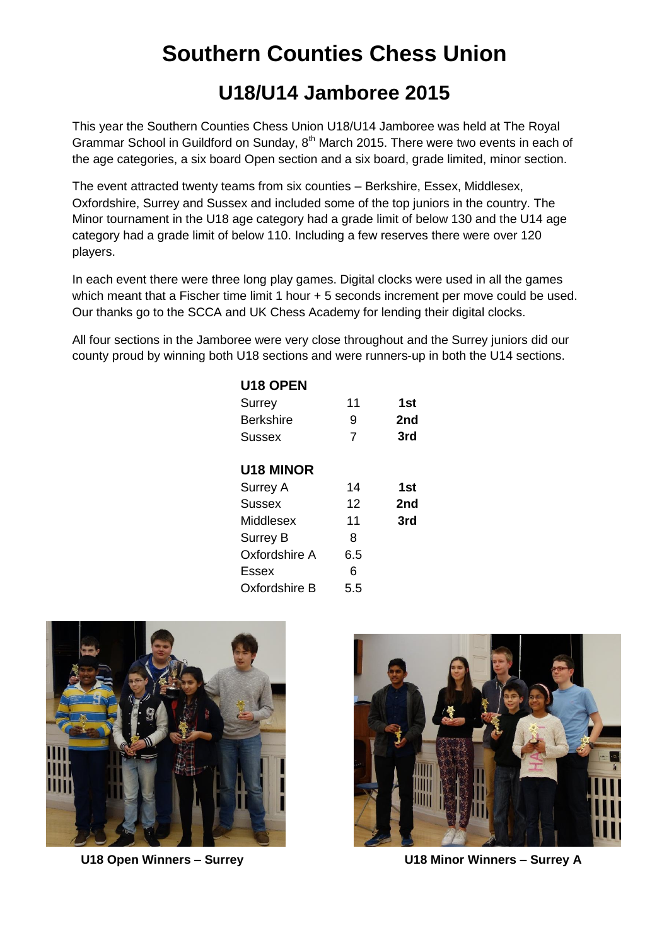## **Southern Counties Chess Union**

## **U18/U14 Jamboree 2015**

This year the Southern Counties Chess Union U18/U14 Jamboree was held at The Royal Grammar School in Guildford on Sunday, 8<sup>th</sup> March 2015. There were two events in each of the age categories, a six board Open section and a six board, grade limited, minor section.

The event attracted twenty teams from six counties – Berkshire, Essex, Middlesex, Oxfordshire, Surrey and Sussex and included some of the top juniors in the country. The Minor tournament in the U18 age category had a grade limit of below 130 and the U14 age category had a grade limit of below 110. Including a few reserves there were over 120 players.

In each event there were three long play games. Digital clocks were used in all the games which meant that a Fischer time limit 1 hour  $+ 5$  seconds increment per move could be used. Our thanks go to the SCCA and UK Chess Academy for lending their digital clocks.

All four sections in the Jamboree were very close throughout and the Surrey juniors did our county proud by winning both U18 sections and were runners-up in both the U14 sections.

| U18 OPEN         |     |     |
|------------------|-----|-----|
| Surrey           | 11  | 1st |
| <b>Berkshire</b> | 9   | 2nd |
| Sussex           | 7   | 3rd |
|                  |     |     |
| U18 MINOR        |     |     |
| Surrey A         | 14  | 1st |
| Sussex           | 12  | 2nd |
| Middlesex        | 11  | 3rd |
| <b>Surrey B</b>  | 8   |     |
| Oxfordshire A    | 6.5 |     |
| Essex            | 6   |     |
| Oxfordshire B    | 5.5 |     |
|                  |     |     |





**U18 Open Winners – Surrey U18 Minor Winners – Surrey A**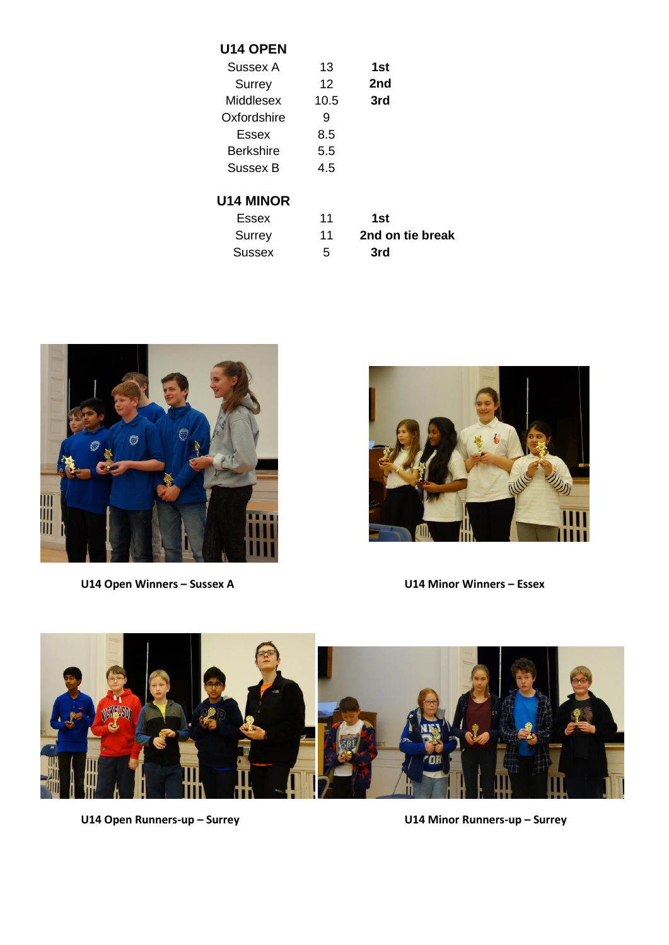## **U14 OPEN**

| Sussex A    | 13   | 1st |
|-------------|------|-----|
| Surrey      | 12   | 2nd |
| Middlesex   | 10.5 | 3rd |
| Oxfordshire | 9    |     |
| Essex       | 8.5  |     |
| Berkshire   | 5.5  |     |
| Sussex B    | 4.5  |     |
|             |      |     |
|             |      |     |

## **U14 MINOR**

| Essex  | 11 | 1st              |
|--------|----|------------------|
| Surrey | 11 | 2nd on tie break |
| Sussex | 5  | 3rd              |



**U14 Open Winners – Sussex A U14 Minor Winners – Essex**





**U14 Open Runners-up – Surrey U14 Minor Runners-up – Surrey**